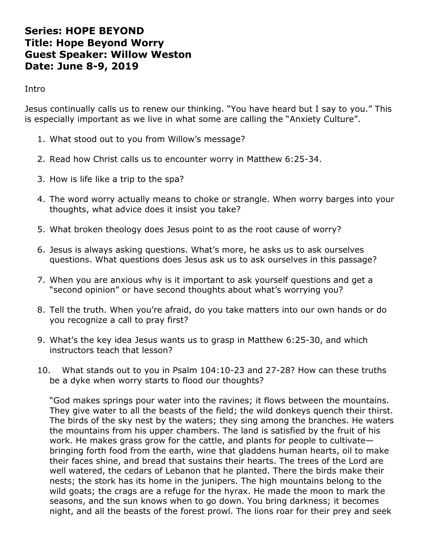## **Series: HOPE BEYOND Title: Hope Beyond Worry Guest Speaker: Willow Weston Date: June 8-9, 2019**

Intro

Jesus continually calls us to renew our thinking. "You have heard but I say to you." This is especially important as we live in what some are calling the "Anxiety Culture".

- 1. What stood out to you from Willow's message?
- 2. Read how Christ calls us to encounter worry in Matthew 6:25-34.
- 3. How is life like a trip to the spa?
- 4. The word worry actually means to choke or strangle. When worry barges into your thoughts, what advice does it insist you take?
- 5. What broken theology does Jesus point to as the root cause of worry?
- 6. Jesus is always asking questions. What's more, he asks us to ask ourselves questions. What questions does Jesus ask us to ask ourselves in this passage?
- 7. When you are anxious why is it important to ask yourself questions and get a "second opinion" or have second thoughts about what's worrying you?
- 8. Tell the truth. When you're afraid, do you take matters into our own hands or do you recognize a call to pray first?
- 9. What's the key idea Jesus wants us to grasp in Matthew 6:25-30, and which instructors teach that lesson?
- 10. What stands out to you in Psalm 104:10-23 and 27-28? How can these truths be a dyke when worry starts to flood our thoughts?

"God makes springs pour water into the ravines; it flows between the mountains. They give water to all the beasts of the field; the wild donkeys quench their thirst. The birds of the sky nest by the waters; they sing among the branches. He waters the mountains from his upper chambers. The land is satisfied by the fruit of his work. He makes grass grow for the cattle, and plants for people to cultivate bringing forth food from the earth, wine that gladdens human hearts, oil to make their faces shine, and bread that sustains their hearts. The trees of the Lord are well watered, the cedars of Lebanon that he planted. There the birds make their nests; the stork has its home in the junipers. The high mountains belong to the wild goats; the crags are a refuge for the hyrax. He made the moon to mark the seasons, and the sun knows when to go down. You bring darkness; it becomes night, and all the beasts of the forest prowl. The lions roar for their prey and seek